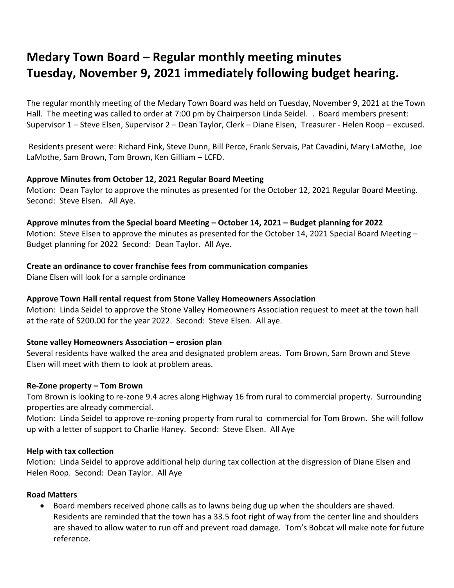# **Medary Town Board – Regular monthly meeting minutes Tuesday, November 9, 2021 immediately following budget hearing.**

The regular monthly meeting of the Medary Town Board was held on Tuesday, November 9, 2021 at the Town Hall. The meeting was called to order at 7:00 pm by Chairperson Linda Seidel. . Board members present: Supervisor 1 – Steve Elsen, Supervisor 2 – Dean Taylor, Clerk – Diane Elsen, Treasurer - Helen Roop – excused.

Residents present were: Richard Fink, Steve Dunn, Bill Perce, Frank Servais, Pat Cavadini, Mary LaMothe, Joe LaMothe, Sam Brown, Tom Brown, Ken Gilliam – LCFD.

# **Approve Minutes from October 12, 2021 Regular Board Meeting**

Motion: Dean Taylor to approve the minutes as presented for the October 12, 2021 Regular Board Meeting. Second: Steve Elsen. All Aye.

# **Approve minutes from the Special board Meeting – October 14, 2021 – Budget planning for 2022**

Motion: Steve Elsen to approve the minutes as presented for the October 14, 2021 Special Board Meeting -Budget planning for 2022 Second: Dean Taylor. All Aye.

# **Create an ordinance to cover franchise fees from communication companies**

Diane Elsen will look for a sample ordinance

# **Approve Town Hall rental request from Stone Valley Homeowners Association**

Motion: Linda Seidel to approve the Stone Valley Homeowners Association request to meet at the town hall at the rate of \$200.00 for the year 2022. Second: Steve Elsen. All aye.

# **Stone valley Homeowners Association – erosion plan**

Several residents have walked the area and designated problem areas. Tom Brown, Sam Brown and Steve Elsen will meet with them to look at problem areas.

#### **Re-Zone property – Tom Brown**

Tom Brown is looking to re-zone 9.4 acres along Highway 16 from rural to commercial property. Surrounding properties are already commercial.

Motion: Linda Seidel to approve re-zoning property from rural to commercial for Tom Brown. She will follow up with a letter of support to Charlie Haney. Second: Steve Elsen. All Aye

#### **Help with tax collection**

Motion: Linda Seidel to approve additional help during tax collection at the disgression of Diane Elsen and Helen Roop. Second: Dean Taylor. All Aye

#### **Road Matters**

 Board members received phone calls as to lawns being dug up when the shoulders are shaved. Residents are reminded that the town has a 33.5 foot right of way from the center line and shoulders are shaved to allow water to run off and prevent road damage. Tom's Bobcat wll make note for future reference.